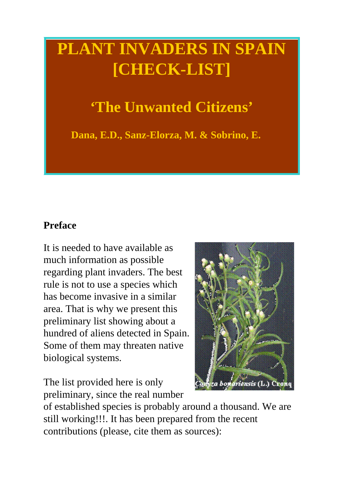# **PLANT INVADERS IN SPAIN [CHECK-LIST]**

## **'The Unwanted Citizens'**

**Dana, E.D., Sanz-Elorza, M. & Sobrino, E.**

### **Preface**

It is needed to have available as much information as possible regarding plant invaders. The best rule is not to use a species which has become invasive in a similar area. That is why we present this preliminary list showing about a hundred of aliens detected in Spain. Some of them may threaten native biological systems.

The list provided here is only preliminary, since the real number



of established species is probably around a thousand. We are still working!!!. It has been prepared from the recent contributions (please, cite them as sources):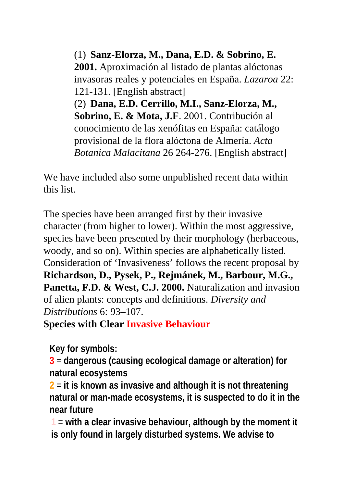(1) **Sanz-Elorza, M., Dana, E.D. & Sobrino, E. 2001.** Aproximación al listado de plantas alóctonas invasoras reales y potenciales en España. *Lazaroa* 22: 121-131. [English abstract] (2) **Dana, E.D. Cerrillo, M.I., Sanz-Elorza, M., Sobrino, E. & Mota, J.F**. 2001. Contribución al conocimiento de las xenófitas en España: catálogo provisional de la flora alóctona de Almería. *Acta Botanica Malacitana* 26 264-276. [English abstract]

We have included also some unpublished recent data within this list.

The species have been arranged first by their invasive character (from higher to lower). Within the most aggressive, species have been presented by their morphology (herbaceous, woody, and so on). Within species are alphabetically listed. Consideration of 'Invasiveness' follows the recent proposal by **Richardson, D., Pysek, P., Rejmánek, M., Barbour, M.G., Panetta, F.D. & West, C.J. 2000.** Naturalization and invasion of alien plants: concepts and definitions. *Diversity and Distributions* 6: 93–107.

**Species with Clear Invasive Behaviour**

**Key for symbols:**

**3** = **dangerous (causing ecological damage or alteration) for natural ecosystems**

**2** = **it is known as invasive and although it is not threatening natural or man-made ecosystems, it is suspected to do it in the near future**

**1** = **with a clear invasive behaviour, although by the moment it is only found in largely disturbed systems. We advise to**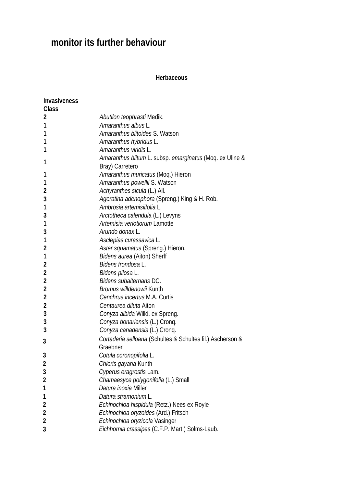## **monitor its further behaviour**

#### **Herbaceous**

| <b>Invasiveness</b> |                                                            |
|---------------------|------------------------------------------------------------|
| <b>Class</b>        |                                                            |
| 2                   | Abutilon teophrasti Medik.                                 |
| 1                   | Amaranthus albus L.                                        |
| 1                   | Amaranthus blitoides S. Watson                             |
| 1                   | Amaranthus hybridus L.                                     |
| 1                   | Amaranthus viridis L.                                      |
| 1                   | Amaranthus blitum L. subsp. emarginatus (Moq. ex Uline &   |
|                     | Bray) Carretero                                            |
| 1                   | Amaranthus muricatus (Moq.) Hieron                         |
| 1                   | Amaranthus powellii S. Watson                              |
| $\overline{2}$      | Achyranthes sicula (L.) All.                               |
| 3                   | Ageratina adenophora (Spreng.) King & H. Rob.              |
| 1                   | Ambrosia artemisiifolia L.                                 |
| 3                   | Arctotheca calendula (L.) Levyns                           |
| 1                   | Artemisia verlotiorum Lamotte                              |
| 3                   | Arundo donax L.                                            |
| 1                   | Asclepias curassavica L.                                   |
| $\overline{2}$      | Aster squamatus (Spreng.) Hieron.                          |
| 1                   | Bidens aurea (Aiton) Sherff                                |
| $\overline{2}$      | Bidens frondosa L.                                         |
| $\overline{2}$      | Bidens pilosa L.                                           |
| 2                   | Bidens subalternans DC.                                    |
| 2                   | Bromus willdenowii Kunth                                   |
| $\overline{2}$      | Cenchrus incertus M.A. Curtis                              |
| $\overline{2}$      | Centaurea diluta Aiton                                     |
| 3                   | Conyza albida Willd. ex Spreng.                            |
| 3                   | Conyza bonariensis (L.) Cronq.                             |
| 3                   | Conyza canadensis (L.) Cronq.                              |
| 3                   | Cortaderia selloana (Schultes & Schultes fil.) Ascherson & |
|                     | Graebner                                                   |
| 3                   | Cotula coronopifolia L                                     |
| 2                   | Chloris gayana Kunth                                       |
| 3                   | Cyperus eragrostis Lam.                                    |
| 2                   | Chamaesyce polygonifolia (L.) Small                        |
| 1                   | Datura inoxia Miller                                       |
| 1                   | Datura stramonium L.                                       |
| 2                   | Echinochloa hispidula (Retz.) Nees ex Royle                |
| 2                   | Echinochloa oryzoides (Ard.) Fritsch                       |
| $\overline{2}$      | Echinochloa oryzicola Vasinger                             |
| 3                   | Eichhornia crassipes (C.F.P. Mart.) Solms-Laub.            |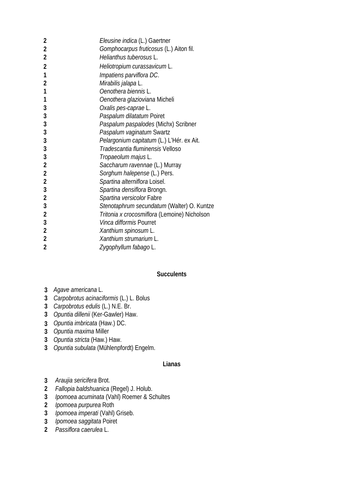| $\overline{2}$ | Eleusine indica (L.) Gaertner                |
|----------------|----------------------------------------------|
| $\overline{2}$ | Gomphocarpus fruticosus (L.) Aiton fil.      |
| $\overline{2}$ | Helianthus tuberosus L.                      |
| $\overline{2}$ | Heliotropium curassavicum L.                 |
| 1              | Impatiens parviflora DC.                     |
| $\overline{2}$ | Mirabilis jalapa L.                          |
| 1              | Oenothera biennis L.                         |
| 1              | Oenothera glazioviana Micheli                |
| 3              | Oxalis pes-caprae L.                         |
| 3              | Paspalum dilatatum Poiret                    |
| 3              | Paspalum paspalodes (Michx) Scribner         |
| 3              | Paspalum vaginatum Swartz                    |
| 3              | Pelargonium capitatum (L.) L'Hér. ex Ait.    |
| 3              | Tradescantia fluminensis Velloso             |
| 3              | Tropaeolum majus L.                          |
| $\overline{2}$ | Saccharum ravennae (L.) Murray               |
| $\overline{2}$ | Sorghum halepense (L.) Pers.                 |
| $\overline{c}$ | Spartina alterniflora Loisel.                |
| 3              | Spartina densiflora Brongn.                  |
| $\overline{2}$ | Spartina versicolor Fabre                    |
| 3              | Stenotaphrum secundatum (Walter) O. Kuntze   |
| $\overline{2}$ | Tritonia x crocosmiflora (Lemoine) Nicholson |
| 3              | Vinca difformis Pourret                      |
| $\overline{2}$ | Xanthium spinosum L.                         |
| $\overline{2}$ | Xanthium strumarium L.                       |
| $\overline{2}$ | Zygophyllum fabago L.                        |

#### **Succulents**

- *Agave americana* L.
- *Carpobrotus acinaciformis* (L.) L. Bolus
- *Carpobrotus edulis* (L.) N.E. Br.
- *Opuntia dillenii* (Ker-Gawler) Haw.
- *Opuntia imbricata* (Haw.) DC.
- *Opuntia maxima* Miller
- *Opuntia stricta* (Haw.) Haw.
- *Opuntia subulata* (Mühlenpfordt) Engelm.

#### **Lianas**

- *Araujia sericifera* Brot.
- *Fallopia baldshuanica* (Regel) J. Holub.
- *Ipomoea acuminata* (Vahl) Roemer & Schultes
- *Ipomoea purpurea* Roth
- *Ipomoea imperati* (Vahl) Griseb.
- *Ipomoea saggitata* Poiret
- *Passiflora caerulea* L.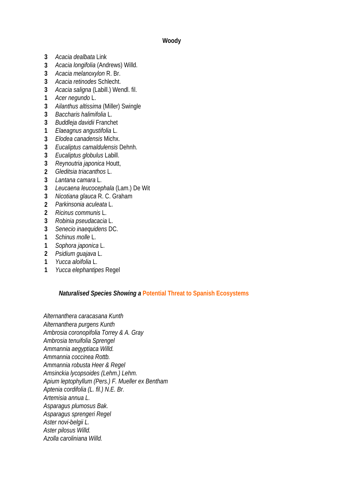#### **Woody**

- **3** *Acacia dealbata* Link
- **3** *Acacia longifolia* (Andrews) Willd.
- **3** *Acacia melanoxylon* R. Br.
- **3** *Acacia retinodes* Schlecht.
- **3** *Acacia saligna* (Labill.) Wendl. fil.
- **1** *Acer negundo* L.
- **3** *Ailanthus altissima* (Miller) Swingle
- **3** *Baccharis halimifolia* L.
- **3** *Buddleja davidii* Franchet
- **1** *Elaeagnus angustifolia* L.
- **3** *Elodea canadensis* Michx.
- **3** *Eucaliptus camaldulensis* Dehnh.
- **3** *Eucaliptus globulus* Labill.
- **3** *Reynoutria japonica* Houtt,
- **2** *Gleditsia triacanthos* L.
- **3** *Lantana camara* L.
- **3** *Leucaena leucocephala* (Lam.) De Wit
- **3** *Nicotiana glauca* R. C. Graham
- **2** *Parkinsonia aculeata* L.
- **2** *Ricinus communis* L.
- **3** *Robinia pseudacacia* L.
- **3** *Senecio inaequidens* DC.
- **1** *Schinus molle* L.
- **1** *Sophora japonica* L.
- **2** *Psidium guajava* L.
- **1** *Yucca aloifolia* L.
- **1** *Yucca elephantipes* Regel

#### *Naturalised Species Showing a* **Potential Threat to Spanish Ecosystems**

*Alternanthera caracasana Kunth Alternanthera purgens Kunth Ambrosia coronopifolia Torrey & A. Gray Ambrosia tenuifolia Sprengel Ammannia aegyptiaca Willd. Ammannia coccinea Rottb. Ammannia robusta Heer & Regel Amsinckia lycopsoides (Lehm.) Lehm. Apium leptophyllum (Pers.) F. Mueller ex Bentham Aptenia cordifolia (L. fil.) N.E. Br. Artemisia annua L. Asparagus plumosus Bak. Asparagus sprengeri Regel Aster novi-belgii L. Aster pilosus Willd. Azolla caroliniana Willd.*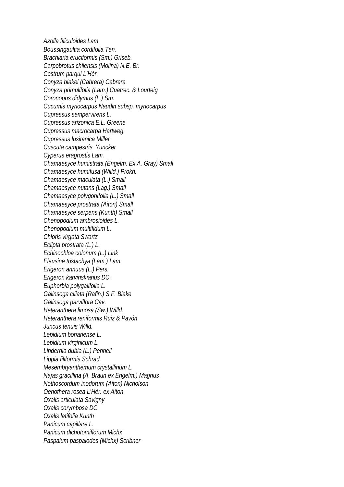*Azolla filiculoides Lam Boussingaultia cordifolia Ten. Brachiaria eruciformis (Sm.) Griseb. Carpobrotus chilensis (Molina) N.E. Br. Cestrum parqui L'Hér. Conyza blakei (Cabrera) Cabrera Conyza primulifolia (Lam.) Cuatrec. & Lourteig Coronopus didymus (L.) Sm. Cucumis myriocarpus Naudin subsp. myriocarpus Cupressus sempervirens L. Cupressus arizonica E.L. Greene Cupressus macrocarpa Hartweg. Cupressus lusitanica Miller Cuscuta campestris Yuncker Cyperus eragrostis Lam. Chamaesyce humistrata (Engelm. Ex A. Gray) Small Chamaesyce humifusa (Willd.) Prokh. Chamaesyce maculata (L.) Small Chamaesyce nutans (Lag.) Small Chamaesyce polygonifolia (L.) Small Chamaesyce prostrata (Aiton) Small Chamaesyce serpens (Kunth) Small Chenopodium ambrosioides L. Chenopodium multifidum L. Chloris virgata Swartz Eclipta prostrata (L.) L. Echinochloa colonum (L.) Link Eleusine tristachya (Lam.) Lam. Erigeron annuus (L.) Pers. Erigeron karvinskianus DC. Euphorbia polygalifolia L. Galinsoga ciliata (Rafin.) S.F. Blake Galinsoga parviflora Cav. Heteranthera limosa (Sw.) Willd. Heteranthera reniformis Ruiz & Pavón Juncus tenuis Willd. Lepidium bonariense L. Lepidium virginicum L. Lindernia dubia (L.) Pennell Lippia filiformis Schrad. Mesembryanthemum crystallinum L. Najas gracillina (A. Braun ex Engelm.) Magnus Nothoscordum inodorum (Aiton) Nicholson Oenothera rosea L'Hér. ex Aiton Oxalis articulata Savigny Oxalis corymbosa DC. Oxalis latifolia Kunth Panicum capillare L. Panicum dichotomiflorum Michx Paspalum paspalodes (Michx) Scribner*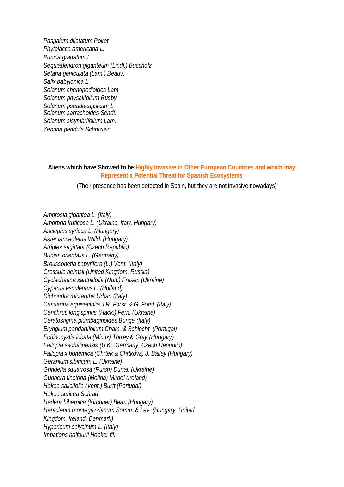*Paspalum dilatatum Poiret Phytolacca americana L. Punica granatum L. Sequiadendron giganteum (Lindl.) Buccholz Setaria geniculata (Lam.) Beauv. Salix babylonica L. Solanum chenopodioides Lam. Solanum physalifolium Rusby Solanum pseudocapsicum L. Solanum sarrachoides Sendt. Solanum sisymbrifolium Lam. Zebrina pendula Schnizlein*

**Aliens which have Showed to be Highly Invasive in Other European Countries and which may Represent a Potential Threat for Spanish Ecosystems**

(Their presence has been detected in Spain, but they are not invasive nowadays)

*Ambrosia gigantea L. (Italy) Amorpha fruticosa L. (Ukraine, Italy, Hungary) Asclepias syriaca L. (Hungary) Aster lanceolatus Willd. (Hungary) Atriplex sagittata (Czech Republic) Bunias orientalis L. (Germany) Broussonetia papyrifera (L.) Vent. (Italy) Crassula helmsii (United Kingdom, Russia) Cyclachaena xanthiifolia (Nutt.) Fresen (Ukraine) Cyperus esculentus L. (Holland) Dichondra micrantha Urban (Italy) Casuarina equisetifolia J.R. Forst. & G. Forst. (Italy) Cenchrus longispinus (Hack.) Fern. (Ukraine) Ceratostigma plumbaginoides Bunge (Italy) Eryngium pandanifolium Cham. & Schlecht. (Portugal) Echinocystis lobata (Michx) Torrey & Gray (Hungary) Fallopia sachalinensis (U.K., Germany, Czech Republic) Fallopia x bohemica (Chrtek & Chrtkóva) J. Bailey (Hungary) Geranium sibiricum L. (Ukraine) Grindelia squarrosa (Pursh) Dunal. (Ukraine) Gunnera tinctoria (Molina) Mirbel (Ireland) Hakea salicifolia (Vent.) Burtt (Portugal) Hakea sericea Schrad. Hedera hibernica (Kirchner) Bean (Hungary) Heracleum montegazzianum Somm. & Lev. (Hungary, United Kingdom, Ireland, Denmark) Hypericum calycinum L. (Italy) Impatiens balfourii Hooker fil.*